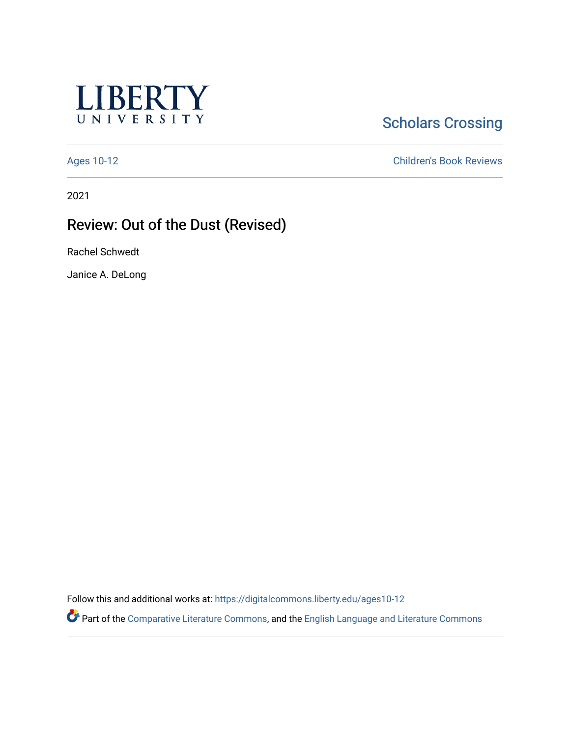

# **Scholars Crossing**

[Ages 10-12](https://digitalcommons.liberty.edu/ages10-12) [Children's Book Reviews](https://digitalcommons.liberty.edu/child_bookrev) 

2021

## Review: Out of the Dust (Revised)

Rachel Schwedt

Janice A. DeLong

Follow this and additional works at: [https://digitalcommons.liberty.edu/ages10-12](https://digitalcommons.liberty.edu/ages10-12?utm_source=digitalcommons.liberty.edu%2Fages10-12%2F30&utm_medium=PDF&utm_campaign=PDFCoverPages) 

Part of the [Comparative Literature Commons](http://network.bepress.com/hgg/discipline/454?utm_source=digitalcommons.liberty.edu%2Fages10-12%2F30&utm_medium=PDF&utm_campaign=PDFCoverPages), and the [English Language and Literature Commons](http://network.bepress.com/hgg/discipline/455?utm_source=digitalcommons.liberty.edu%2Fages10-12%2F30&utm_medium=PDF&utm_campaign=PDFCoverPages)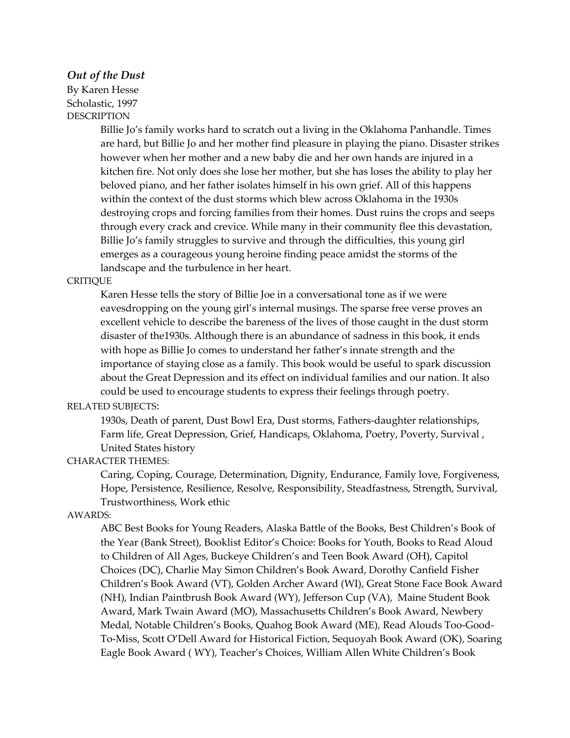#### *Out of the Dust*

By Karen Hesse Scholastic, 1997 **DESCRIPTION** 

> Billie Jo's family works hard to scratch out a living in the Oklahoma Panhandle. Times are hard, but Billie Jo and her mother find pleasure in playing the piano. Disaster strikes however when her mother and a new baby die and her own hands are injured in a kitchen fire. Not only does she lose her mother, but she has loses the ability to play her beloved piano, and her father isolates himself in his own grief. All of this happens within the context of the dust storms which blew across Oklahoma in the 1930s destroying crops and forcing families from their homes. Dust ruins the crops and seeps through every crack and crevice. While many in their community flee this devastation, Billie Jo's family struggles to survive and through the difficulties, this young girl emerges as a courageous young heroine finding peace amidst the storms of the landscape and the turbulence in her heart.

#### CRITIQUE

Karen Hesse tells the story of Billie Joe in a conversational tone as if we were eavesdropping on the young girl's internal musings. The sparse free verse proves an excellent vehicle to describe the bareness of the lives of those caught in the dust storm disaster of the1930s. Although there is an abundance of sadness in this book, it ends with hope as Billie Jo comes to understand her father's innate strength and the importance of staying close as a family. This book would be useful to spark discussion about the Great Depression and its effect on individual families and our nation. It also could be used to encourage students to express their feelings through poetry.

## RELATED SUBJECTS:

1930s, Death of parent, Dust Bowl Era, Dust storms, Fathers-daughter relationships, Farm life, Great Depression, Grief, Handicaps, Oklahoma, Poetry, Poverty, Survival , United States history

## CHARACTER THEMES:

Caring, Coping, Courage, Determination, Dignity, Endurance, Family love, Forgiveness, Hope, Persistence, Resilience, Resolve, Responsibility, Steadfastness, Strength, Survival, Trustworthiness, Work ethic

#### AWARDS:

ABC Best Books for Young Readers, Alaska Battle of the Books, Best Children's Book of the Year (Bank Street), Booklist Editor's Choice: Books for Youth, Books to Read Aloud to Children of All Ages, Buckeye Children's and Teen Book Award (OH), Capitol Choices (DC), Charlie May Simon Children's Book Award, Dorothy Canfield Fisher Children's Book Award (VT), Golden Archer Award (WI), Great Stone Face Book Award (NH), Indian Paintbrush Book Award (WY), Jefferson Cup (VA), Maine Student Book Award, Mark Twain Award (MO), Massachusetts Children's Book Award, Newbery Medal, Notable Children's Books, Quahog Book Award (ME), Read Alouds Too-Good-To-Miss, Scott O'Dell Award for Historical Fiction, Sequoyah Book Award (OK), Soaring Eagle Book Award ( WY), Teacher's Choices, William Allen White Children's Book